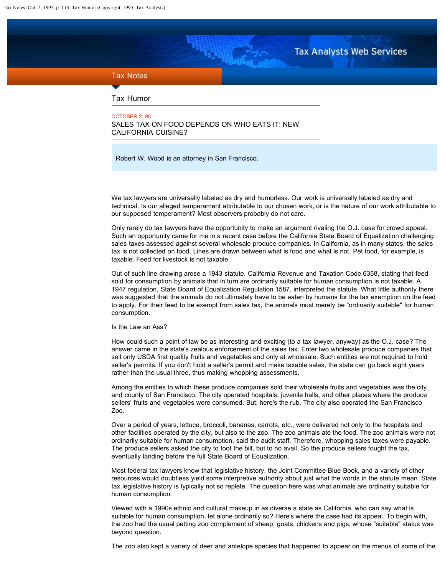**Tax Analysts Web Services** 

## <span id="page-0-0"></span>Tax Notes

Tax Humor

OCTOBER 2, 95 SALES TAX ON FOOD DEPENDS ON WHO EATS IT: NEW CALIFORNIA CUISINE?

Robert W. Wood is an attorney in San Francisco.

We tax lawyers are universally labeled as dry and humorless. Our work is universally labeled as dry and technical. Is our alleged temperament attributable to our chosen work, or is the nature of our work attributable to our supposed temperament? Most observers probably do not care.

Only rarely do tax lawyers have the opportunity to make an argument rivaling the O.J. case for crowd appeal. Such an opportunity came for me in a recent case before the California State Board of Equalization challenging sales taxes assessed against several wholesale produce companies. In California, as in many states, the sales tax is not collected on food. Lines are drawn between what is food and what is not. Pet food, for example, is taxable. Feed for livestock is not taxable.

Out of such line drawing arose a 1943 statute, California Revenue and Taxation Code 6358, stating that feed sold for consumption by animals that in turn are ordinarily suitable for human consumption is not taxable. A 1947 regulation, State Board of Equalization Regulation 1587, interpreted the statute. What little authority there was suggested that the animals do not ultimately have to be eaten by humans for the tax exemption on the feed to apply. For their feed to be exempt from sales tax, the animals must merely be "ordinarily suitable" for human consumption.

## Is the Law an Ass?

How could such a point of law be as interesting and exciting (to a tax lawyer, anyway) as the O.J. case? The answer came in the state's zealous enforcement of the sales tax. Enter two wholesale produce companies that sell only USDA first quality fruits and vegetables and only at wholesale. Such entities are not required to hold seller's permits. If you don't hold a seller's permit and make taxable sales, the state can go back eight years rather than the usual three, thus making whopping assessments.

Among the entities to which these produce companies sold their wholesale fruits and vegetables was the city and county of San Francisco. The city operated hospitals, juvenile halls, and other places where the produce sellers' fruits and vegetables were consumed. But, here's the rub. The city also operated the San Francisco Zoo.

Over a period of years, lettuce, broccoli, bananas, carrots, etc., were delivered not only to the hospitals and other facilities operated by the city, but also to the zoo. The zoo animals ate the food. The zoo animals were not ordinarily suitable for human consumption, said the audit staff. Therefore, whopping sales taxes were payable. The produce sellers asked the city to foot the bill, but to no avail. So the produce sellers fought the tax, eventually landing before the full State Board of Equalization.

Most federal tax lawyers know that legislative history, the Joint Committee Blue Book, and a variety of other resources would doubtless yield some interpretive authority about just what the words in the statute mean. State tax legislative history is typically not so replete. The question here was what animals are ordinarily suitable for human consumption.

Viewed with a 1990s ethnic and cultural makeup in as diverse a state as California, who can say what is suitable for human consumption, let alone ordinarily so? Here's where the case had its appeal. To begin with, the zoo had the usual petting zoo complement of sheep, goats, chickens and pigs, whose "suitable" status was beyond question.

The zoo also kept a variety of deer and antelope species that happened to appear on the menus of some of the